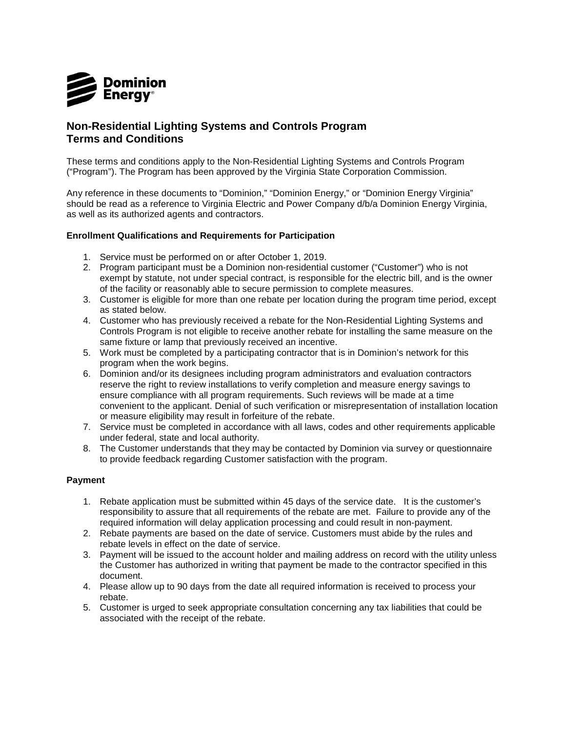

## **Non-Residential Lighting Systems and Controls Program Terms and Conditions**

These terms and conditions apply to the Non-Residential Lighting Systems and Controls Program ("Program"). The Program has been approved by the Virginia State Corporation Commission.

Any reference in these documents to "Dominion," "Dominion Energy," or "Dominion Energy Virginia" should be read as a reference to Virginia Electric and Power Company d/b/a Dominion Energy Virginia, as well as its authorized agents and contractors.

## **Enrollment Qualifications and Requirements for Participation**

- 1. Service must be performed on or after October 1, 2019.
- 2. Program participant must be a Dominion non-residential customer ("Customer") who is not exempt by statute, not under special contract, is responsible for the electric bill, and is the owner of the facility or reasonably able to secure permission to complete measures.
- 3. Customer is eligible for more than one rebate per location during the program time period, except as stated below.
- 4. Customer who has previously received a rebate for the Non-Residential Lighting Systems and Controls Program is not eligible to receive another rebate for installing the same measure on the same fixture or lamp that previously received an incentive.
- 5. Work must be completed by a participating contractor that is in Dominion's network for this program when the work begins.
- 6. Dominion and/or its designees including program administrators and evaluation contractors reserve the right to review installations to verify completion and measure energy savings to ensure compliance with all program requirements. Such reviews will be made at a time convenient to the applicant. Denial of such verification or misrepresentation of installation location or measure eligibility may result in forfeiture of the rebate.
- 7. Service must be completed in accordance with all laws, codes and other requirements applicable under federal, state and local authority.
- 8. The Customer understands that they may be contacted by Dominion via survey or questionnaire to provide feedback regarding Customer satisfaction with the program.

## **Payment**

- 1. Rebate application must be submitted within 45 days of the service date. It is the customer's responsibility to assure that all requirements of the rebate are met. Failure to provide any of the required information will delay application processing and could result in non-payment.
- 2. Rebate payments are based on the date of service. Customers must abide by the rules and rebate levels in effect on the date of service.
- 3. Payment will be issued to the account holder and mailing address on record with the utility unless the Customer has authorized in writing that payment be made to the contractor specified in this document.
- 4. Please allow up to 90 days from the date all required information is received to process your rebate.
- 5. Customer is urged to seek appropriate consultation concerning any tax liabilities that could be associated with the receipt of the rebate.